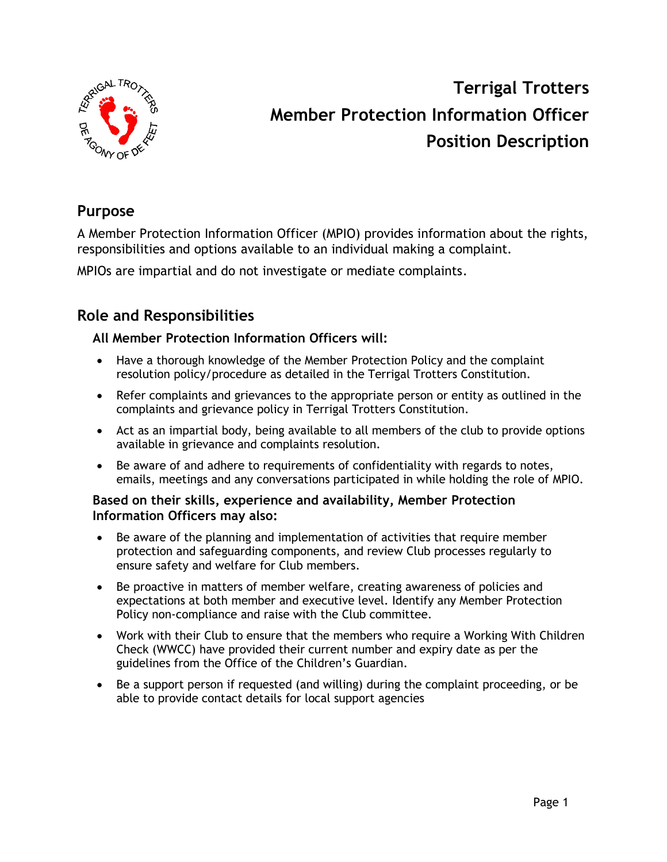

# **Terrigal Trotters Member Protection Information Officer Position Description**

## **Purpose**

A Member Protection Information Officer (MPIO) provides information about the rights, responsibilities and options available to an individual making a complaint.

MPIOs are impartial and do not investigate or mediate complaints.

## **Role and Responsibilities**

### **All Member Protection Information Officers will:**

- Have a thorough knowledge of the Member Protection Policy and the complaint resolution policy/procedure as detailed in the Terrigal Trotters Constitution.
- Refer complaints and grievances to the appropriate person or entity as outlined in the complaints and grievance policy in Terrigal Trotters Constitution.
- Act as an impartial body, being available to all members of the club to provide options available in grievance and complaints resolution.
- Be aware of and adhere to requirements of confidentiality with regards to notes, emails, meetings and any conversations participated in while holding the role of MPIO.

#### **Based on their skills, experience and availability, Member Protection Information Officers may also:**

- Be aware of the planning and implementation of activities that require member protection and safeguarding components, and review Club processes regularly to ensure safety and welfare for Club members.
- Be proactive in matters of member welfare, creating awareness of policies and expectations at both member and executive level. Identify any Member Protection Policy non-compliance and raise with the Club committee.
- Work with their Club to ensure that the members who require a Working With Children Check (WWCC) have provided their current number and expiry date as per the guidelines from the Office of the Children's Guardian.
- Be a support person if requested (and willing) during the complaint proceeding, or be able to provide contact details for local support agencies